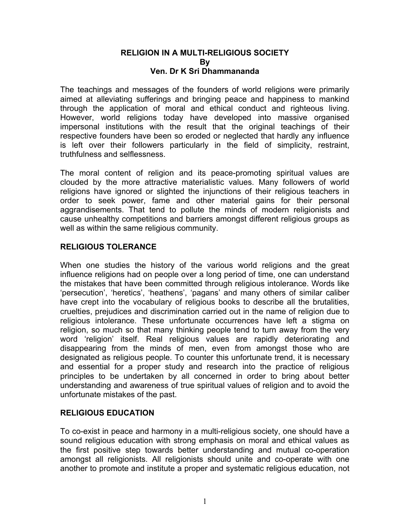#### **RELIGION IN A MULTI-RELIGIOUS SOCIETY By Ven. Dr K Sri Dhammananda**

The teachings and messages of the founders of world religions were primarily aimed at alleviating sufferings and bringing peace and happiness to mankind through the application of moral and ethical conduct and righteous living. However, world religions today have developed into massive organised impersonal institutions with the result that the original teachings of their respective founders have been so eroded or neglected that hardly any influence is left over their followers particularly in the field of simplicity, restraint, truthfulness and selflessness.

The moral content of religion and its peace-promoting spiritual values are clouded by the more attractive materialistic values. Many followers of world religions have ignored or slighted the injunctions of their religious teachers in order to seek power, fame and other material gains for their personal aggrandisements. That tend to pollute the minds of modern religionists and cause unhealthy competitions and barriers amongst different religious groups as well as within the same religious community.

#### **RELIGIOUS TOLERANCE**

When one studies the history of the various world religions and the great influence religions had on people over a long period of time, one can understand the mistakes that have been committed through religious intolerance. Words like 'persecution', 'heretics', 'heathens', 'pagans' and many others of similar caliber have crept into the vocabulary of religious books to describe all the brutalities, cruelties, prejudices and discrimination carried out in the name of religion due to religious intolerance. These unfortunate occurrences have left a stigma on religion, so much so that many thinking people tend to turn away from the very word 'religion' itself. Real religious values are rapidly deteriorating and disappearing from the minds of men, even from amongst those who are designated as religious people. To counter this unfortunate trend, it is necessary and essential for a proper study and research into the practice of religious principles to be undertaken by all concerned in order to bring about better understanding and awareness of true spiritual values of religion and to avoid the unfortunate mistakes of the past.

#### **RELIGIOUS EDUCATION**

To co-exist in peace and harmony in a multi-religious society, one should have a sound religious education with strong emphasis on moral and ethical values as the first positive step towards better understanding and mutual co-operation amongst all religionists. All religionists should unite and co-operate with one another to promote and institute a proper and systematic religious education, not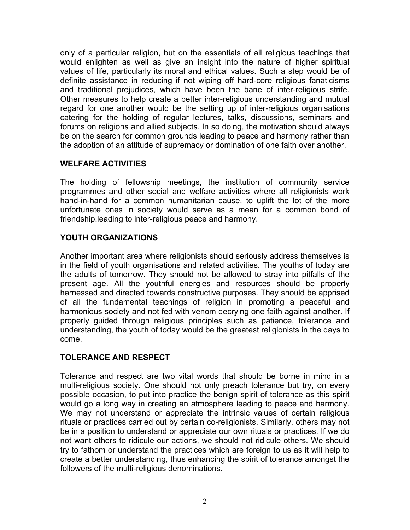only of a particular religion, but on the essentials of all religious teachings that would enlighten as well as give an insight into the nature of higher spiritual values of life, particularly its moral and ethical values. Such a step would be of definite assistance in reducing if not wiping off hard-core religious fanaticisms and traditional prejudices, which have been the bane of inter-religious strife. Other measures to help create a better inter-religious understanding and mutual regard for one another would be the setting up of inter-religious organisations catering for the holding of regular lectures, talks, discussions, seminars and forums on religions and allied subjects. In so doing, the motivation should always be on the search for common grounds leading to peace and harmony rather than the adoption of an attitude of supremacy or domination of one faith over another.

# **WELFARE ACTIVITIES**

The holding of fellowship meetings, the institution of community service programmes and other social and welfare activities where all religionists work hand-in-hand for a common humanitarian cause, to uplift the lot of the more unfortunate ones in society would serve as a mean for a common bond of friendship.leading to inter-religious peace and harmony.

# **YOUTH ORGANIZATIONS**

Another important area where religionists should seriously address themselves is in the field of youth organisations and related activities. The youths of today are the adults of tomorrow. They should not be allowed to stray into pitfalls of the present age. All the youthful energies and resources should be properly harnessed and directed towards constructive purposes. They should be apprised of all the fundamental teachings of religion in promoting a peaceful and harmonious society and not fed with venom decrying one faith against another. If properly guided through religious principles such as patience, tolerance and understanding, the youth of today would be the greatest religionists in the days to come.

# **TOLERANCE AND RESPECT**

Tolerance and respect are two vital words that should be borne in mind in a multi-religious society. One should not only preach tolerance but try, on every possible occasion, to put into practice the benign spirit of tolerance as this spirit would go a long way in creating an atmosphere leading to peace and harmony. We may not understand or appreciate the intrinsic values of certain religious rituals or practices carried out by certain co-religionists. Similarly, others may not be in a position to understand or appreciate our own rituals or practices. If we do not want others to ridicule our actions, we should not ridicule others. We should try to fathom or understand the practices which are foreign to us as it will help to create a better understanding, thus enhancing the spirit of tolerance amongst the followers of the multi-religious denominations.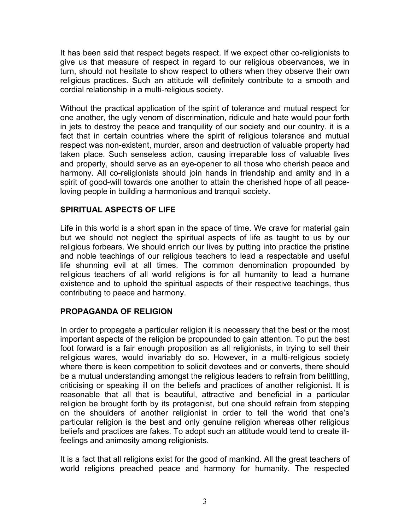It has been said that respect begets respect. If we expect other co-religionists to give us that measure of respect in regard to our religious observances, we in turn, should not hesitate to show respect to others when they observe their own religious practices. Such an attitude will definitely contribute to a smooth and cordial relationship in a multi-religious society.

Without the practical application of the spirit of tolerance and mutual respect for one another, the ugly venom of discrimination, ridicule and hate would pour forth in jets to destroy the peace and tranquility of our society and our country. it is a fact that in certain countries where the spirit of religious tolerance and mutual respect was non-existent, murder, arson and destruction of valuable property had taken place. Such senseless action, causing irreparable loss of valuable lives and property, should serve as an eye-opener to all those who cherish peace and harmony. All co-religionists should join hands in friendship and amity and in a spirit of good-will towards one another to attain the cherished hope of all peaceloving people in building a harmonious and tranquil society.

# **SPIRITUAL ASPECTS OF LIFE**

Life in this world is a short span in the space of time. We crave for material gain but we should not neglect the spiritual aspects of life as taught to us by our religious forbears. We should enrich our lives by putting into practice the pristine and noble teachings of our religious teachers to lead a respectable and useful life shunning evil at all times. The common denomination propounded by religious teachers of all world religions is for all humanity to lead a humane existence and to uphold the spiritual aspects of their respective teachings, thus contributing to peace and harmony.

#### **PROPAGANDA OF RELIGION**

In order to propagate a particular religion it is necessary that the best or the most important aspects of the religion be propounded to gain attention. To put the best foot forward is a fair enough proposition as all religionists, in trying to sell their religious wares, would invariably do so. However, in a multi-religious society where there is keen competition to solicit devotees and or converts, there should be a mutual understanding amongst the religious leaders to refrain from belittling, criticising or speaking ill on the beliefs and practices of another religionist. It is reasonable that all that is beautiful, attractive and beneficial in a particular religion be brought forth by its protagonist, but one should refrain from stepping on the shoulders of another religionist in order to tell the world that one's particular religion is the best and only genuine religion whereas other religious beliefs and practices are fakes. To adopt such an attitude would tend to create illfeelings and animosity among religionists.

It is a fact that all religions exist for the good of mankind. All the great teachers of world religions preached peace and harmony for humanity. The respected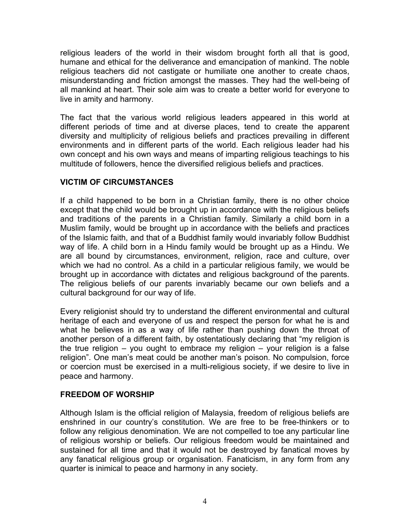religious leaders of the world in their wisdom brought forth all that is good, humane and ethical for the deliverance and emancipation of mankind. The noble religious teachers did not castigate or humiliate one another to create chaos, misunderstanding and friction amongst the masses. They had the well-being of all mankind at heart. Their sole aim was to create a better world for everyone to live in amity and harmony.

The fact that the various world religious leaders appeared in this world at different periods of time and at diverse places, tend to create the apparent diversity and multiplicity of religious beliefs and practices prevailing in different environments and in different parts of the world. Each religious leader had his own concept and his own ways and means of imparting religious teachings to his multitude of followers, hence the diversified religious beliefs and practices.

# **VICTIM OF CIRCUMSTANCES**

If a child happened to be born in a Christian family, there is no other choice except that the child would be brought up in accordance with the religious beliefs and traditions of the parents in a Christian family. Similarly a child born in a Muslim family, would be brought up in accordance with the beliefs and practices of the Islamic faith, and that of a Buddhist family would invariably follow Buddhist way of life. A child born in a Hindu family would be brought up as a Hindu. We are all bound by circumstances, environment, religion, race and culture, over which we had no control. As a child in a particular religious family, we would be brought up in accordance with dictates and religious background of the parents. The religious beliefs of our parents invariably became our own beliefs and a cultural background for our way of life.

Every religionist should try to understand the different environmental and cultural heritage of each and everyone of us and respect the person for what he is and what he believes in as a way of life rather than pushing down the throat of another person of a different faith, by ostentatiously declaring that "my religion is the true religion – you ought to embrace my religion – your religion is a false religion". One man's meat could be another man's poison. No compulsion, force or coercion must be exercised in a multi-religious society, if we desire to live in peace and harmony.

# **FREEDOM OF WORSHIP**

Although Islam is the official religion of Malaysia, freedom of religious beliefs are enshrined in our country's constitution. We are free to be free-thinkers or to follow any religious denomination. We are not compelled to toe any particular line of religious worship or beliefs. Our religious freedom would be maintained and sustained for all time and that it would not be destroyed by fanatical moves by any fanatical religious group or organisation. Fanaticism, in any form from any quarter is inimical to peace and harmony in any society.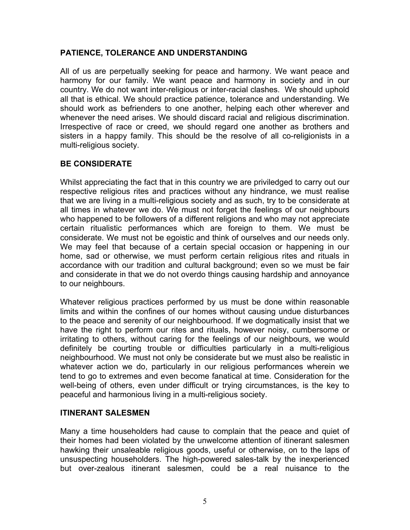#### **PATIENCE, TOLERANCE AND UNDERSTANDING**

All of us are perpetually seeking for peace and harmony. We want peace and harmony for our family. We want peace and harmony in society and in our country. We do not want inter-religious or inter-racial clashes. We should uphold all that is ethical. We should practice patience, tolerance and understanding. We should work as befrienders to one another, helping each other wherever and whenever the need arises. We should discard racial and religious discrimination. Irrespective of race or creed, we should regard one another as brothers and sisters in a happy family. This should be the resolve of all co-religionists in a multi-religious society.

# **BE CONSIDERATE**

Whilst appreciating the fact that in this country we are priviledged to carry out our respective religious rites and practices without any hindrance, we must realise that we are living in a multi-religious society and as such, try to be considerate at all times in whatever we do. We must not forget the feelings of our neighbours who happened to be followers of a different religions and who may not appreciate certain ritualistic performances which are foreign to them. We must be considerate. We must not be egoistic and think of ourselves and our needs only. We may feel that because of a certain special occasion or happening in our home, sad or otherwise, we must perform certain religious rites and rituals in accordance with our tradition and cultural background; even so we must be fair and considerate in that we do not overdo things causing hardship and annoyance to our neighbours.

Whatever religious practices performed by us must be done within reasonable limits and within the confines of our homes without causing undue disturbances to the peace and serenity of our neighbourhood. If we dogmatically insist that we have the right to perform our rites and rituals, however noisy, cumbersome or irritating to others, without caring for the feelings of our neighbours, we would definitely be courting trouble or difficulties particularly in a multi-religious neighbourhood. We must not only be considerate but we must also be realistic in whatever action we do, particularly in our religious performances wherein we tend to go to extremes and even become fanatical at time. Consideration for the well-being of others, even under difficult or trying circumstances, is the key to peaceful and harmonious living in a multi-religious society.

#### **ITINERANT SALESMEN**

Many a time householders had cause to complain that the peace and quiet of their homes had been violated by the unwelcome attention of itinerant salesmen hawking their unsaleable religious goods, useful or otherwise, on to the laps of unsuspecting householders. The high-powered sales-talk by the inexperienced but over-zealous itinerant salesmen, could be a real nuisance to the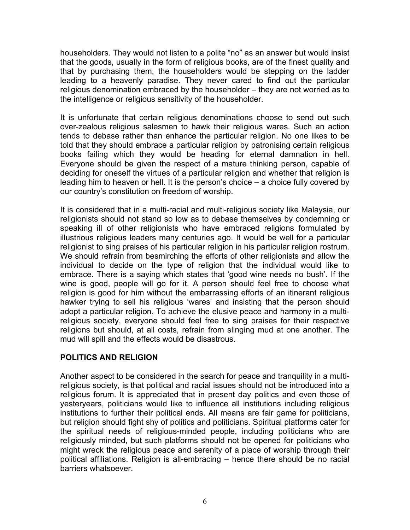householders. They would not listen to a polite "no" as an answer but would insist that the goods, usually in the form of religious books, are of the finest quality and that by purchasing them, the householders would be stepping on the ladder leading to a heavenly paradise. They never cared to find out the particular religious denomination embraced by the householder – they are not worried as to the intelligence or religious sensitivity of the householder.

It is unfortunate that certain religious denominations choose to send out such over-zealous religious salesmen to hawk their religious wares. Such an action tends to debase rather than enhance the particular religion. No one likes to be told that they should embrace a particular religion by patronising certain religious books failing which they would be heading for eternal damnation in hell. Everyone should be given the respect of a mature thinking person, capable of deciding for oneself the virtues of a particular religion and whether that religion is leading him to heaven or hell. It is the person's choice – a choice fully covered by our country's constitution on freedom of worship.

It is considered that in a multi-racial and multi-religious society like Malaysia, our religionists should not stand so low as to debase themselves by condemning or speaking ill of other religionists who have embraced religions formulated by illustrious religious leaders many centuries ago. It would be well for a particular religionist to sing praises of his particular religion in his particular religion rostrum. We should refrain from besmirching the efforts of other religionists and allow the individual to decide on the type of religion that the individual would like to embrace. There is a saying which states that 'good wine needs no bush'. If the wine is good, people will go for it. A person should feel free to choose what religion is good for him without the embarrassing efforts of an itinerant religious hawker trying to sell his religious 'wares' and insisting that the person should adopt a particular religion. To achieve the elusive peace and harmony in a multireligious society, everyone should feel free to sing praises for their respective religions but should, at all costs, refrain from slinging mud at one another. The mud will spill and the effects would be disastrous.

# **POLITICS AND RELIGION**

Another aspect to be considered in the search for peace and tranquility in a multireligious society, is that political and racial issues should not be introduced into a religious forum. It is appreciated that in present day politics and even those of yesteryears, politicians would like to influence all institutions including religious institutions to further their political ends. All means are fair game for politicians, but religion should fight shy of politics and politicians. Spiritual platforms cater for the spiritual needs of religious-minded people, including politicians who are religiously minded, but such platforms should not be opened for politicians who might wreck the religious peace and serenity of a place of worship through their political affiliations. Religion is all-embracing – hence there should be no racial barriers whatsoever.